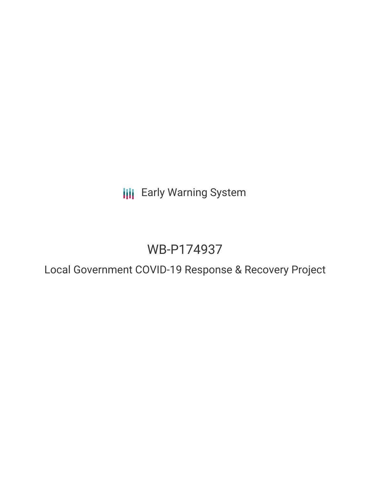**III** Early Warning System

# WB-P174937

Local Government COVID-19 Response & Recovery Project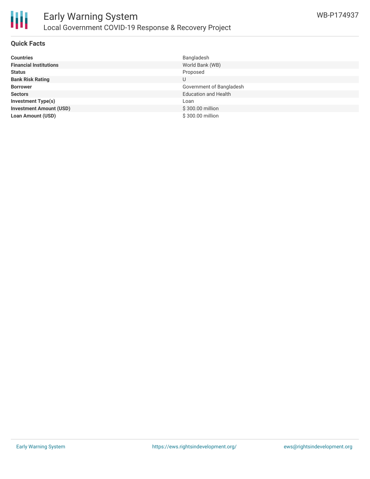

#### **Quick Facts**

| <b>Countries</b>               | Bangladesh                  |
|--------------------------------|-----------------------------|
| <b>Financial Institutions</b>  | World Bank (WB)             |
| <b>Status</b>                  | Proposed                    |
| <b>Bank Risk Rating</b>        | U                           |
| <b>Borrower</b>                | Government of Bangladesh    |
| <b>Sectors</b>                 | <b>Education and Health</b> |
| <b>Investment Type(s)</b>      | Loan                        |
| <b>Investment Amount (USD)</b> | \$300.00 million            |
| <b>Loan Amount (USD)</b>       | \$300.00 million            |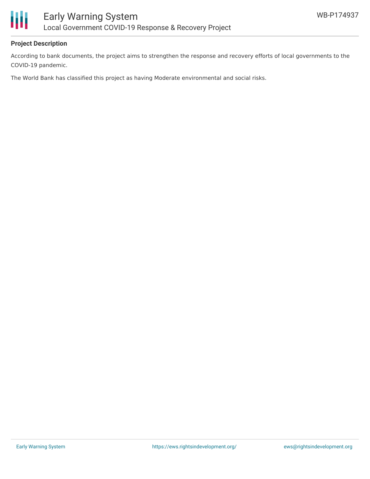

#### **Project Description**

Ш

According to bank documents, the project aims to strengthen the response and recovery efforts of local governments to the COVID-19 pandemic.

The World Bank has classified this project as having Moderate environmental and social risks.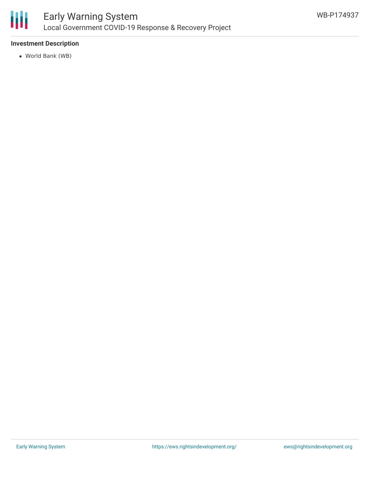

### **Investment Description**

World Bank (WB)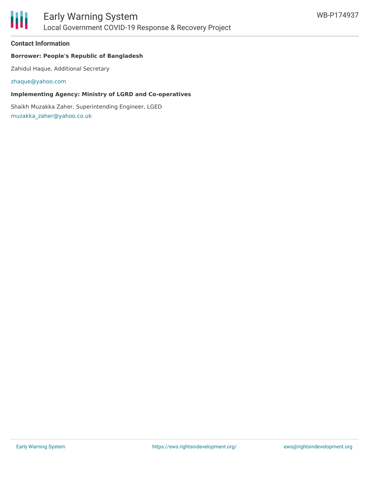

#### **Contact Information**

#### **Borrower: People's Republic of Bangladesh**

Zahidul Haque, Additional Secretary

[zhaque@yahoo.com](mailto:zhaque@yahoo.com)

#### **Implementing Agency: Ministry of LGRD and Co-operatives**

Shaikh Muzakka Zaher, Superintending Engineer, LGED [muzakka\\_zaher@yahoo.co.uk](mailto:muzakka_zaher@yahoo.co.uk)